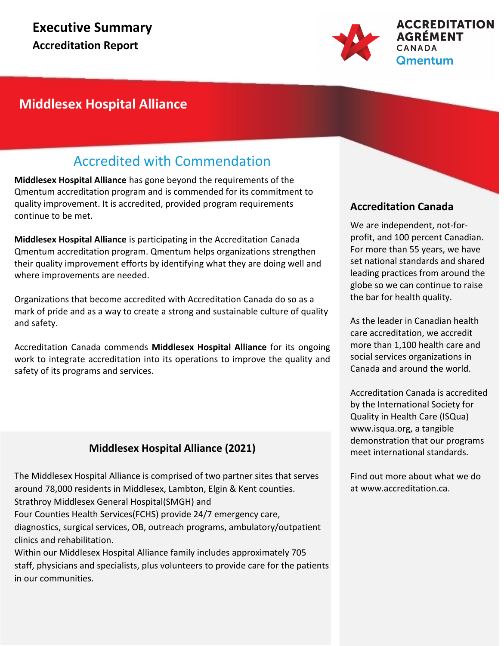

## **Middlesex Hospital Alliance**

## Accredited with Commendation

**Middlesex Hospital Alliance** has gone beyond the requirements of the Qmentum accreditation program and is commended for its commitment to quality improvement. It is accredited, provided program requirements continue to be met.

**Middlesex Hospital Alliance** is participating in the Accreditation Canada Qmentum accreditation program. Qmentum helps organizations strengthen their quality improvement efforts by identifying what they are doing well and where improvements are needed.

Organizations that become accredited with Accreditation Canada do so as a mark of pride and as a way to create a strong and sustainable culture of quality and safety.

Accreditation Canada commends **Middlesex Hospital Alliance** for its ongoing work to integrate accreditation into its operations to improve the quality and safety of its programs and services.

## **Middlesex Hospital Alliance (2021)**

The Middlesex Hospital Alliance is comprised of two partner sites that serves around 78,000 residents in Middlesex, Lambton, Elgin & Kent counties. Strathroy Middlesex General Hospital(SMGH) and Four Counties Health Services(FCHS) provide 24/7 emergency care, diagnostics, surgical services, OB, outreach programs, ambulatory/outpatient clinics and rehabilitation.

Within our Middlesex Hospital Alliance family includes approximately 705 staff, physicians and specialists, plus volunteers to provide care for the patients in our communities.

## **Accreditation Canada**

We are independent, not-forprofit, and 100 percent Canadian. For more than 55 years, we have set national standards and shared leading practices from around the globe so we can continue to raise the bar for health quality.

As the leader in Canadian health care accreditation, we accredit more than 1,100 health care and social services organizations in Canada and around the world.

Accreditation Canada is accredited by the International Society for Quality in Health Care (ISQua) www.isqua.org, a tangible demonstration that our programs meet international standards.

Find out more about what we do at www.accreditation.ca.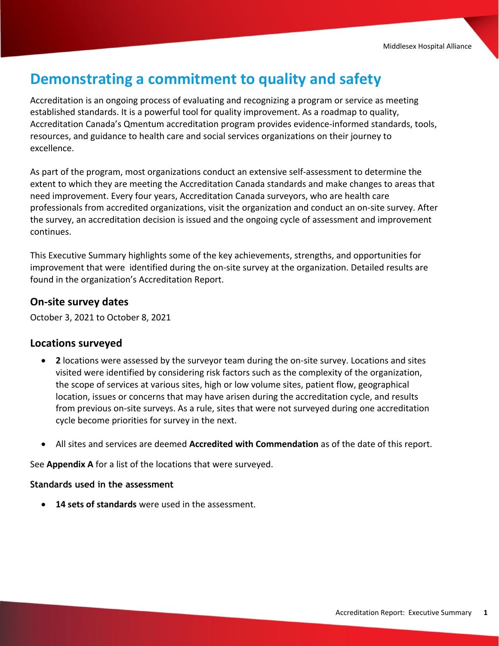## **Demonstrating a commitment to quality and safety**

Accreditation is an ongoing process of evaluating and recognizing a program or service as meeting established standards. It is a powerful tool for quality improvement. As a roadmap to quality, Accreditation Canada's Qmentum accreditation program provides evidence-informed standards, tools, resources, and guidance to health care and social services organizations on their journey to excellence.

As part of the program, most organizations conduct an extensive self-assessment to determine the extent to which they are meeting the Accreditation Canada standards and make changes to areas that need improvement. Every four years, Accreditation Canada surveyors, who are health care professionals from accredited organizations, visit the organization and conduct an on-site survey. After the survey, an accreditation decision is issued and the ongoing cycle of assessment and improvement continues.

This Executive Summary highlights some of the key achievements, strengths, and opportunities for improvement that were identified during the on-site survey at the organization. Detailed results are found in the organization's Accreditation Report.

### **On-site survey dates**

October 3, 2021 to October 8, 2021

#### **Locations surveyed**

- · **2** locations were assessed by the surveyor team during the on-site survey. Locations and sites visited were identified by considering risk factors such as the complexity of the organization, the scope of services at various sites, high or low volume sites, patient flow, geographical location, issues or concerns that may have arisen during the accreditation cycle, and results from previous on-site surveys. As a rule, sites that were not surveyed during one accreditation cycle become priorities for survey in the next.
- · All sites and services are deemed **Accredited with Commendation** as of the date of this report.

See **Appendix A** for a list of the locations that were surveyed.

#### **Standards used in the assessment**

· **14 sets of standards** were used in the assessment.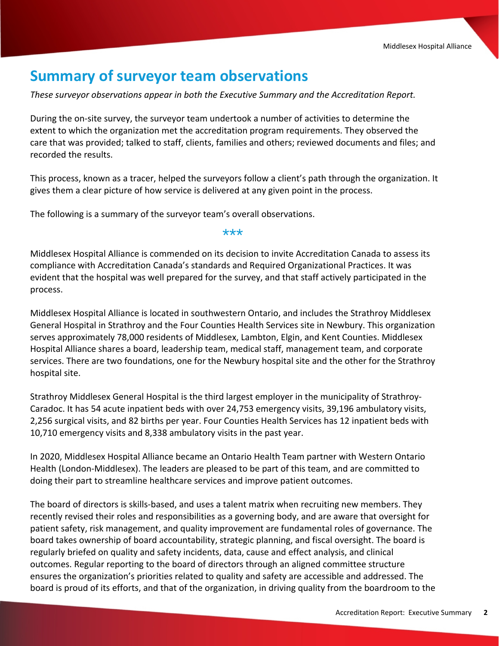## **Summary of surveyor team observations**

*These surveyor observations appear in both the Executive Summary and the Accreditation Report.*

During the on-site survey, the surveyor team undertook a number of activities to determine the extent to which the organization met the accreditation program requirements. They observed the care that was provided; talked to staff, clients, families and others; reviewed documents and files; and recorded the results.

This process, known as a tracer, helped the surveyors follow a client's path through the organization. It gives them a clear picture of how service is delivered at any given point in the process.

The following is a summary of the surveyor team's overall observations.

#### \*\*\*

Middlesex Hospital Alliance is commended on its decision to invite Accreditation Canada to assess its compliance with Accreditation Canada's standards and Required Organizational Practices. It was evident that the hospital was well prepared for the survey, and that staff actively participated in the process.

Middlesex Hospital Alliance is located in southwestern Ontario, and includes the Strathroy Middlesex General Hospital in Strathroy and the Four Counties Health Services site in Newbury. This organization serves approximately 78,000 residents of Middlesex, Lambton, Elgin, and Kent Counties. Middlesex Hospital Alliance shares a board, leadership team, medical staff, management team, and corporate services. There are two foundations, one for the Newbury hospital site and the other for the Strathroy hospital site.

Strathroy Middlesex General Hospital is the third largest employer in the municipality of Strathroy-Caradoc. It has 54 acute inpatient beds with over 24,753 emergency visits, 39,196 ambulatory visits, 2,256 surgical visits, and 82 births per year. Four Counties Health Services has 12 inpatient beds with 10,710 emergency visits and 8,338 ambulatory visits in the past year.

In 2020, Middlesex Hospital Alliance became an Ontario Health Team partner with Western Ontario Health (London-Middlesex). The leaders are pleased to be part of this team, and are committed to doing their part to streamline healthcare services and improve patient outcomes.

The board of directors is skills-based, and uses a talent matrix when recruiting new members. They recently revised their roles and responsibilities as a governing body, and are aware that oversight for patient safety, risk management, and quality improvement are fundamental roles of governance. The board takes ownership of board accountability, strategic planning, and fiscal oversight. The board is regularly briefed on quality and safety incidents, data, cause and effect analysis, and clinical outcomes. Regular reporting to the board of directors through an aligned committee structure ensures the organization's priorities related to quality and safety are accessible and addressed. The board is proud of its efforts, and that of the organization, in driving quality from the boardroom to the

bedside.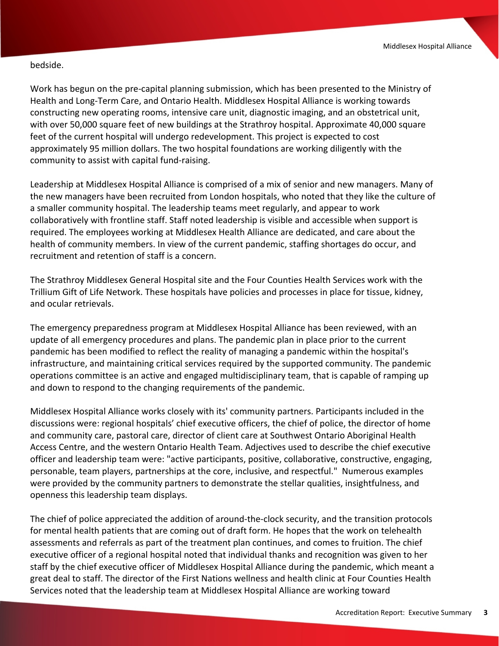#### bedside.

Work has begun on the pre-capital planning submission, which has been presented to the Ministry of Health and Long-Term Care, and Ontario Health. Middlesex Hospital Alliance is working towards constructing new operating rooms, intensive care unit, diagnostic imaging, and an obstetrical unit, with over 50,000 square feet of new buildings at the Strathroy hospital. Approximate 40,000 square feet of the current hospital will undergo redevelopment. This project is expected to cost approximately 95 million dollars. The two hospital foundations are working diligently with the community to assist with capital fund-raising.

Leadership at Middlesex Hospital Alliance is comprised of a mix of senior and new managers. Many of the new managers have been recruited from London hospitals, who noted that they like the culture of a smaller community hospital. The leadership teams meet regularly, and appear to work collaboratively with frontline staff. Staff noted leadership is visible and accessible when support is required. The employees working at Middlesex Health Alliance are dedicated, and care about the health of community members. In view of the current pandemic, staffing shortages do occur, and recruitment and retention of staff is a concern.

The Strathroy Middlesex General Hospital site and the Four Counties Health Services work with the Trillium Gift of Life Network. These hospitals have policies and processes in place for tissue, kidney, and ocular retrievals.

The emergency preparedness program at Middlesex Hospital Alliance has been reviewed, with an update of all emergency procedures and plans. The pandemic plan in place prior to the current pandemic has been modified to reflect the reality of managing a pandemic within the hospital's infrastructure, and maintaining critical services required by the supported community. The pandemic operations committee is an active and engaged multidisciplinary team, that is capable of ramping up and down to respond to the changing requirements of the pandemic.

Middlesex Hospital Alliance works closely with its' community partners. Participants included in the discussions were: regional hospitals' chief executive officers, the chief of police, the director of home and community care, pastoral care, director of client care at Southwest Ontario Aboriginal Health Access Centre, and the western Ontario Health Team. Adjectives used to describe the chief executive officer and leadership team were: "active participants, positive, collaborative, constructive, engaging, personable, team players, partnerships at the core, inclusive, and respectful." Numerous examples were provided by the community partners to demonstrate the stellar qualities, insightfulness, and openness this leadership team displays.

The chief of police appreciated the addition of around-the-clock security, and the transition protocols for mental health patients that are coming out of draft form. He hopes that the work on telehealth assessments and referrals as part of the treatment plan continues, and comes to fruition. The chief executive officer of a regional hospital noted that individual thanks and recognition was given to her staff by the chief executive officer of Middlesex Hospital Alliance during the pandemic, which meant a great deal to staff. The director of the First Nations wellness and health clinic at Four Counties Health Services noted that the leadership team at Middlesex Hospital Alliance are working toward

inclusiveness, and incorporating First Nations rituals into the hospital's practices and protocols. He felt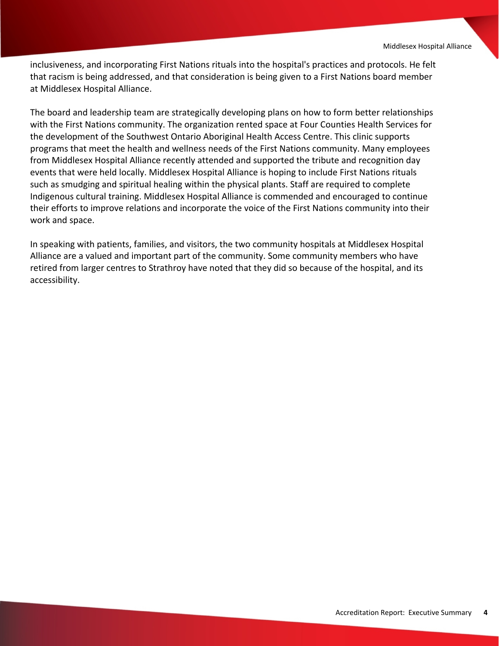inclusiveness, and incorporating First Nations rituals into the hospital's practices and protocols. He felt that racism is being addressed, and that consideration is being given to a First Nations board member at Middlesex Hospital Alliance.

The board and leadership team are strategically developing plans on how to form better relationships with the First Nations community. The organization rented space at Four Counties Health Services for the development of the Southwest Ontario Aboriginal Health Access Centre. This clinic supports programs that meet the health and wellness needs of the First Nations community. Many employees from Middlesex Hospital Alliance recently attended and supported the tribute and recognition day events that were held locally. Middlesex Hospital Alliance is hoping to include First Nations rituals such as smudging and spiritual healing within the physical plants. Staff are required to complete Indigenous cultural training. Middlesex Hospital Alliance is commended and encouraged to continue their efforts to improve relations and incorporate the voice of the First Nations community into their work and space.

In speaking with patients, families, and visitors, the two community hospitals at Middlesex Hospital Alliance are a valued and important part of the community. Some community members who have retired from larger centres to Strathroy have noted that they did so because of the hospital, and its accessibility.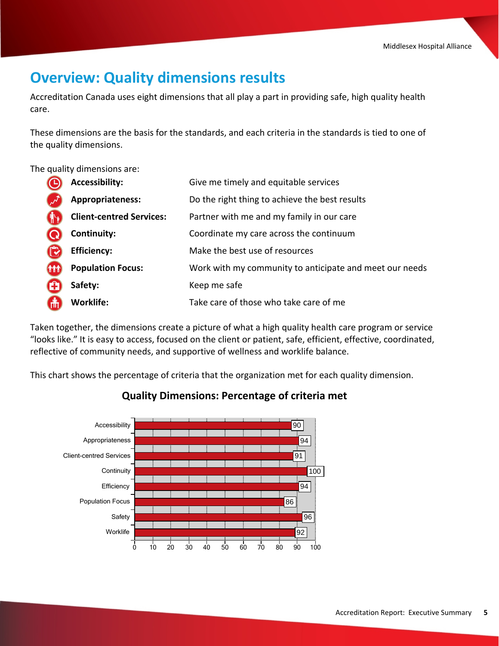## **Overview: Quality dimensions results**

Accreditation Canada uses eight dimensions that all play a part in providing safe, high quality health care.

These dimensions are the basis for the standards, and each criteria in the standards is tied to one of the quality dimensions.

The quality dimensions are:

|            | <b>Accessibility:</b>           | Give me timely and equitable services                   |
|------------|---------------------------------|---------------------------------------------------------|
|            | Appropriateness:                | Do the right thing to achieve the best results          |
|            | <b>Client-centred Services:</b> | Partner with me and my family in our care               |
|            | Continuity:                     | Coordinate my care across the continuum                 |
|            | <b>Efficiency:</b>              | Make the best use of resources                          |
| <b>THT</b> | <b>Population Focus:</b>        | Work with my community to anticipate and meet our needs |
|            | Safety:                         | Keep me safe                                            |
| 6          | <b>Worklife:</b>                | Take care of those who take care of me                  |

Taken together, the dimensions create a picture of what a high quality health care program or service "looks like." It is easy to access, focused on the client or patient, safe, efficient, effective, coordinated, reflective of community needs, and supportive of wellness and worklife balance.

This chart shows the percentage of criteria that the organization met for each quality dimension.



## **Quality Dimensions: Percentage of criteria met**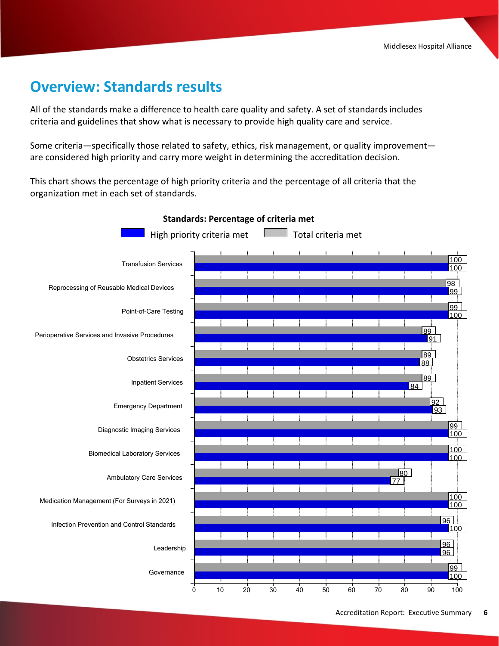## **Overview: Standards results**

All of the standards make a difference to health care quality and safety. A set of standards includes criteria and guidelines that show what is necessary to provide high quality care and service.

Some criteria—specifically those related to safety, ethics, risk management, or quality improvement are considered high priority and carry more weight in determining the accreditation decision.

This chart shows the percentage of high priority criteria and the percentage of all criteria that the organization met in each set of standards.



#### **Standards: Percentage of criteria met**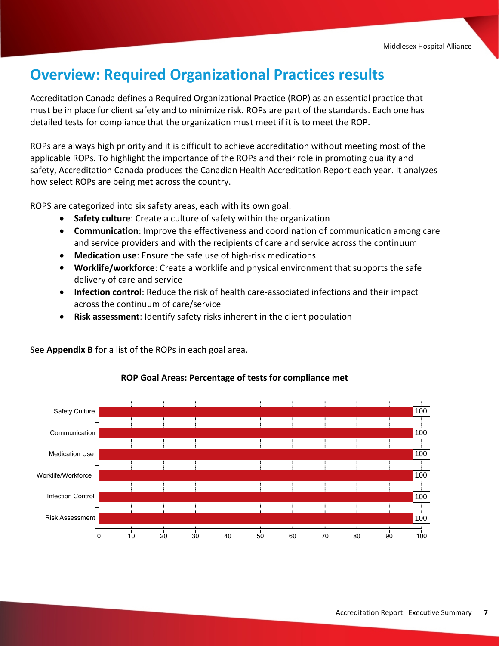## **Overview: Required Organizational Practices results**

Accreditation Canada defines a Required Organizational Practice (ROP) as an essential practice that must be in place for client safety and to minimize risk. ROPs are part of the standards. Each one has detailed tests for compliance that the organization must meet if it is to meet the ROP.

ROPs are always high priority and it is difficult to achieve accreditation without meeting most of the applicable ROPs. To highlight the importance of the ROPs and their role in promoting quality and safety, Accreditation Canada produces the Canadian Health Accreditation Report each year. It analyzes how select ROPs are being met across the country.

ROPS are categorized into six safety areas, each with its own goal:

- · **Safety culture**: Create a culture of safety within the organization
- · **Communication**: Improve the effectiveness and coordination of communication among care and service providers and with the recipients of care and service across the continuum
- · **Medication use**: Ensure the safe use of high-risk medications
- · **Worklife/workforce**: Create a worklife and physical environment that supports the safe delivery of care and service
- · **Infection control**: Reduce the risk of health care-associated infections and their impact across the continuum of care/service
- · **Risk assessment**: Identify safety risks inherent in the client population

See **Appendix B** for a list of the ROPs in each goal area.



#### **ROP Goal Areas: Percentage of tests for compliance met**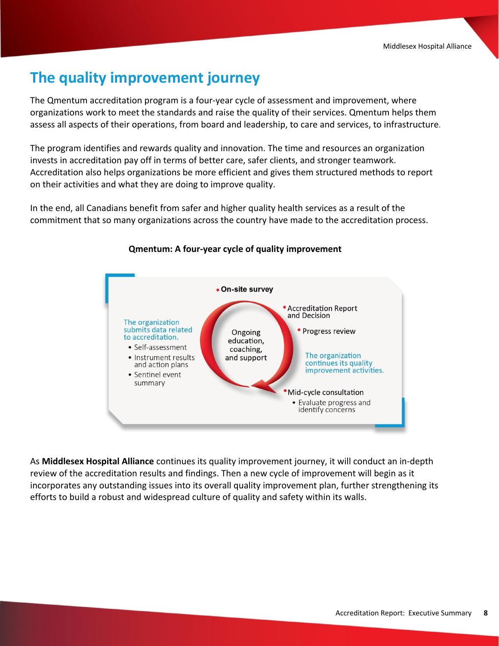# **The quality improvement journey**

The Qmentum accreditation program is a four-year cycle of assessment and improvement, where organizations work to meet the standards and raise the quality of their services. Qmentum helps them assess all aspects of their operations, from board and leadership, to care and services, to infrastructure.

The program identifies and rewards quality and innovation. The time and resources an organization invests in accreditation pay off in terms of better care, safer clients, and stronger teamwork. Accreditation also helps organizations be more efficient and gives them structured methods to report on their activities and what they are doing to improve quality.

In the end, all Canadians benefit from safer and higher quality health services as a result of the commitment that so many organizations across the country have made to the accreditation process.



#### **Qmentum: A four-year cycle of quality improvement**

As **Middlesex Hospital Alliance** continues its quality improvement journey, it will conduct an in-depth review of the accreditation results and findings. Then a new cycle of improvement will begin as it incorporates any outstanding issues into its overall quality improvement plan, further strengthening its efforts to build a robust and widespread culture of quality and safety within its walls.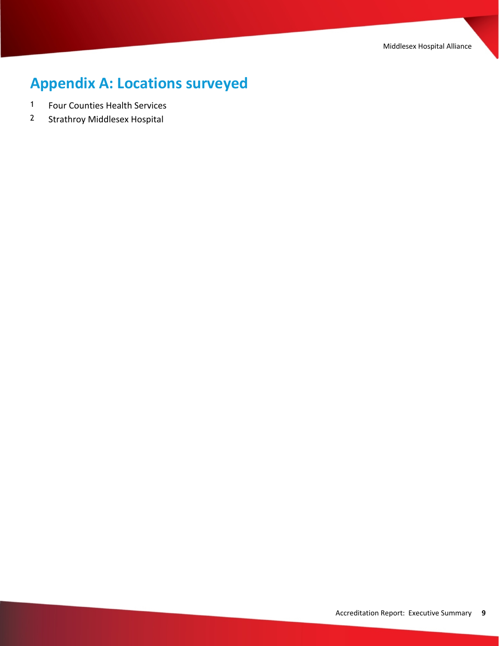Middlesex Hospital Alliance

# **Appendix A: Locations surveyed**

- 1 Four Counties Health Services
- 2 Strathroy Middlesex Hospital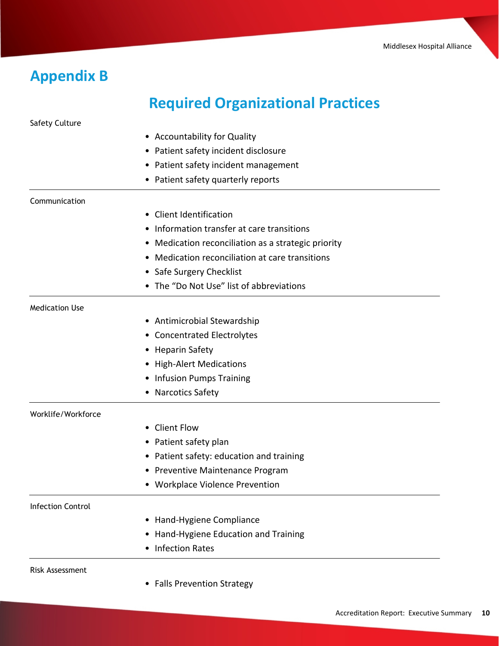# **Appendix B**

Safety Culture

# **Required Organizational Practices**

|                          | • Accountability for Quality                        |
|--------------------------|-----------------------------------------------------|
|                          | • Patient safety incident disclosure                |
|                          | • Patient safety incident management                |
|                          | • Patient safety quarterly reports                  |
| Communication            |                                                     |
|                          | • Client Identification                             |
|                          | Information transfer at care transitions<br>٠       |
|                          | • Medication reconciliation as a strategic priority |
|                          | Medication reconciliation at care transitions<br>٠  |
|                          | • Safe Surgery Checklist                            |
|                          | • The "Do Not Use" list of abbreviations            |
| <b>Medication Use</b>    |                                                     |
|                          | • Antimicrobial Stewardship                         |
|                          | • Concentrated Electrolytes                         |
|                          | • Heparin Safety                                    |
|                          | • High-Alert Medications                            |
|                          | • Infusion Pumps Training                           |
|                          | • Narcotics Safety                                  |
| Worklife/Workforce       |                                                     |
|                          | • Client Flow                                       |
|                          | • Patient safety plan                               |
|                          | • Patient safety: education and training            |
|                          | • Preventive Maintenance Program                    |
|                          | • Workplace Violence Prevention                     |
| <b>Infection Control</b> |                                                     |
|                          | Hand-Hygiene Compliance<br>$\bullet$                |
|                          | • Hand-Hygiene Education and Training               |
|                          | <b>Infection Rates</b>                              |
| <b>Risk Assessment</b>   |                                                     |

• Falls Prevention Strategy